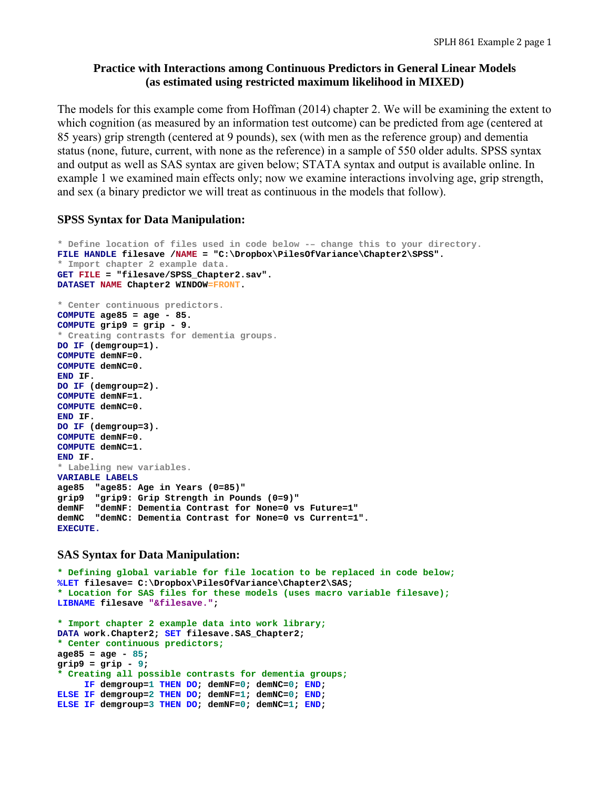# **Practice with Interactions among Continuous Predictors in General Linear Models (as estimated using restricted maximum likelihood in MIXED)**

The models for this example come from Hoffman (2014) chapter 2. We will be examining the extent to which cognition (as measured by an information test outcome) can be predicted from age (centered at 85 years) grip strength (centered at 9 pounds), sex (with men as the reference group) and dementia status (none, future, current, with none as the reference) in a sample of 550 older adults. SPSS syntax and output as well as SAS syntax are given below; STATA syntax and output is available online. In example 1 we examined main effects only; now we examine interactions involving age, grip strength, and sex (a binary predictor we will treat as continuous in the models that follow).

### **SPSS Syntax for Data Manipulation:**

```
* Define location of files used in code below -– change this to your directory.
FILE HANDLE filesave /NAME = "C:\Dropbox\PilesOfVariance\Chapter2\SPSS". 
* Import chapter 2 example data. 
GET FILE = "filesave/SPSS_Chapter2.sav". 
DATASET NAME Chapter2 WINDOW=FRONT. 
* Center continuous predictors.
COMPUTE age85 = age - 85. 
COMPUTE grip9 = grip - 9. 
* Creating contrasts for dementia groups.
DO IF (demgroup=1). 
COMPUTE demNF=0. 
COMPUTE demNC=0. 
END IF. 
DO IF (demgroup=2). 
COMPUTE demNF=1. 
COMPUTE demNC=0. 
END IF. 
DO IF (demgroup=3). 
COMPUTE demNF=0. 
COMPUTE demNC=1. 
END IF. 
* Labeling new variables.
VARIABLE LABELS 
age85 "age85: Age in Years (0=85)" 
grip9 "grip9: Grip Strength in Pounds (0=9)" 
demNF "demNF: Dementia Contrast for None=0 vs Future=1" 
demNC "demNC: Dementia Contrast for None=0 vs Current=1". 
EXECUTE.
```
### **SAS Syntax for Data Manipulation:**

```
* Defining global variable for file location to be replaced in code below;
%LET filesave= C:\Dropbox\PilesOfVariance\Chapter2\SAS; 
* Location for SAS files for these models (uses macro variable filesave);
LIBNAME filesave "&filesave."; 
* Import chapter 2 example data into work library;
DATA work.Chapter2; SET filesave.SAS_Chapter2; 
* Center continuous predictors;
age85 = age - 85; 
grip9 = grip - 9; 
* Creating all possible contrasts for dementia groups;
     IF demgroup=1 THEN DO; demNF=0; demNC=0; END; 
ELSE IF demgroup=2 THEN DO; demNF=1; demNC=0; END; 
ELSE IF demgroup=3 THEN DO; demNF=0; demNC=1; END;
```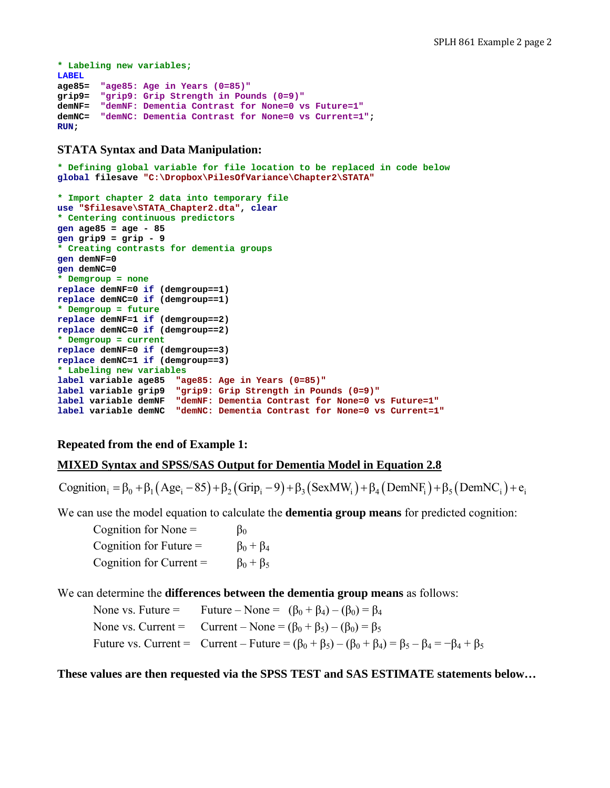```
* Labeling new variables;
LABEL 
age85= "age85: Age in Years (0=85)"
grip9= "grip9: Grip Strength in Pounds (0=9)"
demNF= "demNF: Dementia Contrast for None=0 vs Future=1"
demNC= "demNC: Dementia Contrast for None=0 vs Current=1"; 
RUN;
```
### **STATA Syntax and Data Manipulation:**

```
* Defining global variable for file location to be replaced in code below
global filesave "C:\Dropbox\PilesOfVariance\Chapter2\STATA" 
* Import chapter 2 data into temporary file
use "$filesave\STATA_Chapter2.dta", clear 
* Centering continuous predictors
gen age85 = age - 85 
gen grip9 = grip - 9 
* Creating contrasts for dementia groups
gen demNF=0 
gen demNC=0 
* Demgroup = none 
replace demNF=0 if (demgroup==1) 
replace demNC=0 if (demgroup==1) 
* Demgroup = future 
replace demNF=1 if (demgroup==2) 
replace demNC=0 if (demgroup==2) 
* Demgroup = current
replace demNF=0 if (demgroup==3) 
replace demNC=1 if (demgroup==3) 
* Labeling new variables
label variable age85 "age85: Age in Years (0=85)" 
label variable grip9 "grip9: Grip Strength in Pounds (0=9)" 
label variable demNF "demNF: Dementia Contrast for None=0 vs Future=1" 
label variable demNC "demNC: Dementia Contrast for None=0 vs Current=1"
```
# **Repeated from the end of Example 1:**

### **MIXED Syntax and SPSS/SAS Output for Dementia Model in Equation 2.8**

Cognition  $=\beta_0 + \beta_1 (Age_i - 85) + \beta_2 (Grip_i - 9) + \beta_3 (SexMW_i) + \beta_4 (DemNF_i) + \beta_5 (DemNC_i) + e_i$ 

We can use the model equation to calculate the **dementia group means** for predicted cognition:

Cognition for None =  $\beta_0$ Cognition for Future =  $\beta_0 + \beta_4$ Cognition for Current =  $\beta_0 + \beta_5$ 

We can determine the **differences between the dementia group means** as follows:

None vs. Future = Future – None =  $(\beta_0 + \beta_4) - (\beta_0) = \beta_4$ None vs. Current = Current – None =  $(\beta_0 + \beta_5) - (\beta_0) = \beta_5$ Future vs. Current = Current – Future =  $(\beta_0 + \beta_5) - (\beta_0 + \beta_4) = \beta_5 - \beta_4 = -\beta_4 + \beta_5$ 

### **These values are then requested via the SPSS TEST and SAS ESTIMATE statements below…**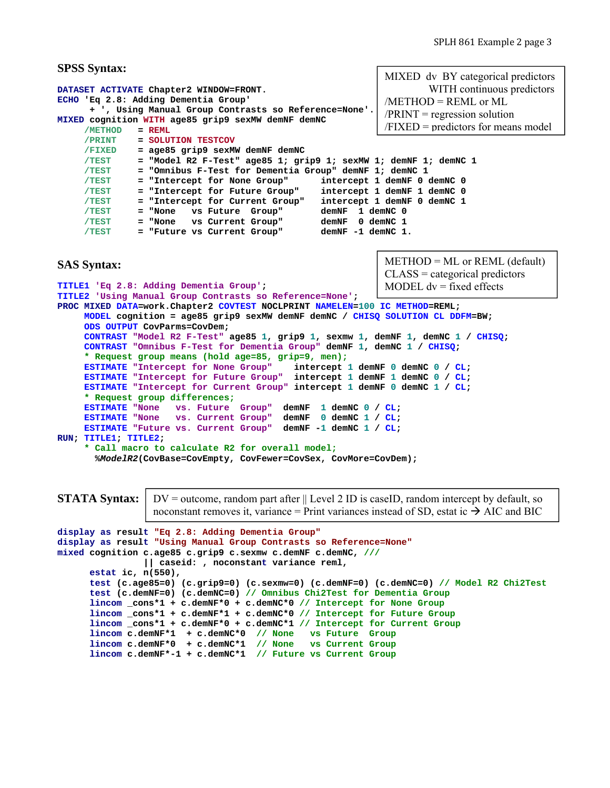```
SPSS Syntax:
DATASET ACTIVATE Chapter2 WINDOW=FRONT.
ECHO 'Eq 2.8: Adding Dementia Group' 
       + ', Using Manual Group Contrasts so Reference=None'. 
MIXED cognition WITH age85 grip9 sexMW demNF demNC 
      /METHOD = REML 
      /PRINT = SOLUTION TESTCOV 
      /FIXED = age85 grip9 sexMW demNF demNC 
      /TEST = "Model R2 F-Test" age85 1; grip9 1; sexMW 1; demNF 1; demNC 1 
      /TEST = "Omnibus F-Test for Dementia Group" demNF 1; demNC 1 
      /TEST = "Intercept for None Group" intercept 1 demNF 0 demNC 0 
 /TEST = "Intercept for Future Group" intercept 1 demNF 1 demNC 0 
 /TEST = "Intercept for Current Group" intercept 1 demNF 0 demNC 1 
      /TEST = "None vs Future Group" demNF 1 demNC 0 
      /TEST = "None vs Current Group" demNF 0 demNC 1 
     /TEST = "Future vs Current Group"
SAS Syntax:
TITLE1 'Eq 2.8: Adding Dementia Group'; 
TITLE2 'Using Manual Group Contrasts so Reference=None'; 
PROC MIXED DATA=work.Chapter2 COVTEST NOCLPRINT NAMELEN=100 IC METHOD=REML; 
      MODEL cognition = age85 grip9 sexMW demNF demNC / CHISQ SOLUTION CL DDFM=BW; 
      ODS OUTPUT CovParms=CovDem; 
      CONTRAST "Model R2 F-Test" age85 1, grip9 1, sexmw 1, demNF 1, demNC 1 / CHISQ; 
      CONTRAST "Omnibus F-Test for Dementia Group" demNF 1, demNC 1 / CHISQ; 
      * Request group means (hold age=85, grip=9, men);
      ESTIMATE "Intercept for None Group" intercept 1 demNF 0 demNC 0 / CL; 
      ESTIMATE "Intercept for Future Group" intercept 1 demNF 1 demNC 0 / CL; 
      ESTIMATE "Intercept for Current Group" intercept 1 demNF 0 demNC 1 / CL; 
      * Request group differences;
     ESTIMATE "None vs. Future Group" demNF 1 demNC 0 / CL;<br>ESTIMATE "None vs. Current Group" demNF 0 demNC 1 / CL;
     ESTIMATE "None vs. Current Group"
      ESTIMATE "Future vs. Current Group" demNF -1 demNC 1 / CL; 
RUN; TITLE1; TITLE2; 
      * Call macro to calculate R2 for overall model;
        %ModelR2(CovBase=CovEmpty, CovFewer=CovSex, CovMore=CovDem);
                                                              METHOD = ML or REML (default)
                                                              CLASS = categorical predictors 
                                                              MODEL dv = fixed effects
                                                              MIXED dv BY categorical predictors 
                                                                        WITH continuous predictors 
                                                              /METHOD = REML or ML
                                                              /PRINT = regression solution/FIXED = predictors for means model
```

```
STATA Syntax:
```
 $DV =$  outcome, random part after  $\parallel$  Level 2 ID is caseID, random intercept by default, so noconstant removes it, variance = Print variances instead of SD, estat ic  $\rightarrow$  AIC and BIC

```
display as result "Eq 2.8: Adding Dementia Group" 
display as result "Using Manual Group Contrasts so Reference=None" 
mixed cognition c.age85 c.grip9 c.sexmw c.demNF c.demNC, /// 
                 || caseid: , noconstant variance reml, 
       estat ic, n(550), 
       test (c.age85=0) (c.grip9=0) (c.sexmw=0) (c.demNF=0) (c.demNC=0) // Model R2 Chi2Test
       test (c.demNF=0) (c.demNC=0) // Omnibus Chi2Test for Dementia Group
       lincom _cons*1 + c.demNF*0 + c.demNC*0 // Intercept for None Group
       lincom _cons*1 + c.demNF*1 + c.demNC*0 // Intercept for Future Group
       lincom _cons*1 + c.demNF*0 + c.demNC*1 // Intercept for Current Group
       lincom c.demNF*1 + c.demNC*0 // None vs Future Group 
       lincom c.demNF*0 + c.demNC*1 // None vs Current Group
       lincom c.demNF*-1 + c.demNC*1 // Future vs Current Group
```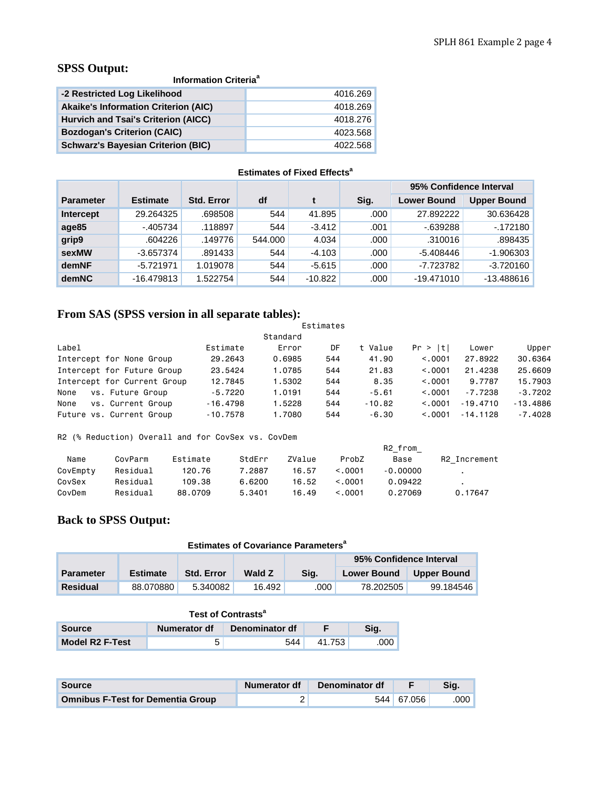# **SPSS Output:**

**Information Criteria<sup>a</sup>** 

| -2 Restricted Log Likelihood                | 4016.269 |
|---------------------------------------------|----------|
| <b>Akaike's Information Criterion (AIC)</b> | 4018.269 |
| Hurvich and Tsai's Criterion (AICC)         | 4018.276 |
| <b>Bozdogan's Criterion (CAIC)</b>          | 4023.568 |
| <b>Schwarz's Bayesian Criterion (BIC)</b>   | 4022.568 |

# **Estimates of Fixed Effects<sup>a</sup>**

|                  |                 |                   |         |           |      | 95% Confidence Interval |                    |
|------------------|-----------------|-------------------|---------|-----------|------|-------------------------|--------------------|
| <b>Parameter</b> | <b>Estimate</b> | <b>Std. Error</b> | df      |           | Sig. | <b>Lower Bound</b>      | <b>Upper Bound</b> |
| Intercept        | 29.264325       | .698508           | 544     | 41.895    | .000 | 27.892222               | 30.636428          |
| age85            | $-405734$       | .118897           | 544     | $-3.412$  | .001 | $-639288$               | $-172180$          |
| grip9            | .604226         | .149776           | 544.000 | 4.034     | .000 | .310016                 | .898435            |
| sexMW            | $-3.657374$     | .891433           | 544     | $-4.103$  | .000 | $-5.408446$             | $-1.906303$        |
| demNF            | $-5.721971$     | 1.019078          | 544     | $-5.615$  | .000 | -7.723782               | $-3.720160$        |
| demNC            | $-16.479813$    | 1.522754          | 544     | $-10.822$ | .000 | $-19.471010$            | $-13.488616$       |

# **From SAS (SPSS version in all separate tables):**

|                             |            |          | Estimates |          |          |            |            |
|-----------------------------|------------|----------|-----------|----------|----------|------------|------------|
|                             |            | Standard |           |          |          |            |            |
| Label                       | Estimate   | Error    | DF        | t Value  | Pr >  t  | Lower      | Upper      |
| Intercept for None Group    | 29,2643    | 0.6985   | 544       | 41.90    | < 0.0001 | 27,8922    | 30,6364    |
| Intercept for Future Group  | 23,5424    | 1.0785   | 544       | 21,83    | < 0.001  | 21,4238    | 25,6609    |
| Intercept for Current Group | 12,7845    | 1.5302   | 544       | 8.35     | < 0.001  | 9.7787     | 15,7903    |
| vs. Future Group<br>None    | $-5.7220$  | 1.0191   | 544       | $-5.61$  | < 0.001  | $-7.7238$  | $-3.7202$  |
| vs. Current Group<br>None   | $-16,4798$ | 1.5228   | 544       | $-10.82$ | < 0.001  | $-19.4710$ | $-13,4886$ |
| Future vs. Current Group    | $-10.7578$ | 1,7080   | 544       | $-6.30$  | < 0.001  | $-14.1128$ | $-7.4028$  |

R2 (% Reduction) Overall and for CovSex vs. CovDem

|          |          |          |        |        |              | R2 from    |              |
|----------|----------|----------|--------|--------|--------------|------------|--------------|
| Name     | CovParm  | Estimate | StdFrr | ZValue | ProbZ        | Base       | R2 Increment |
| CovEmpty | Residual | 120.76   | 7.2887 | 16.57  | < 0.001      | $-0.00000$ |              |
| CovSex   | Residual | 109.38   | 6.6200 | 16.52  | $\leq$ .0001 | 0.09422    |              |
| CovDem   | Residual | 88.0709  | 5.3401 | 16.49  | < 0.001      | 0.27069    | 0.17647      |

# **Back to SPSS Output:**

|                         | <b>Estimates of Covariance Parameters<sup>a</sup></b> |                   |        |      |                    |                    |  |  |  |  |  |  |  |  |
|-------------------------|-------------------------------------------------------|-------------------|--------|------|--------------------|--------------------|--|--|--|--|--|--|--|--|
| 95% Confidence Interval |                                                       |                   |        |      |                    |                    |  |  |  |  |  |  |  |  |
| <b>Parameter</b>        | <b>Estimate</b>                                       | <b>Std. Error</b> | Wald Z | Sia. | <b>Lower Bound</b> | <b>Upper Bound</b> |  |  |  |  |  |  |  |  |
| <b>Residual</b>         | 88.070880                                             | 5.340082          | 16.492 | .000 | 78.202505          | 99.184546          |  |  |  |  |  |  |  |  |

| Test of Contrasts <sup>a</sup>                          |  |     |        |      |  |  |  |  |  |  |  |
|---------------------------------------------------------|--|-----|--------|------|--|--|--|--|--|--|--|
| Denominator df<br>Sia.<br>Numerator df<br><b>Source</b> |  |     |        |      |  |  |  |  |  |  |  |
| Model R <sub>2</sub> F-Test                             |  | 544 | 41.753 | .000 |  |  |  |  |  |  |  |

| Source                                   | Numerator df | Denominator df |            | Sia.              |
|------------------------------------------|--------------|----------------|------------|-------------------|
| <b>Omnibus F-Test for Dementia Group</b> |              |                | 544 67.056 | .000 <sub>1</sub> |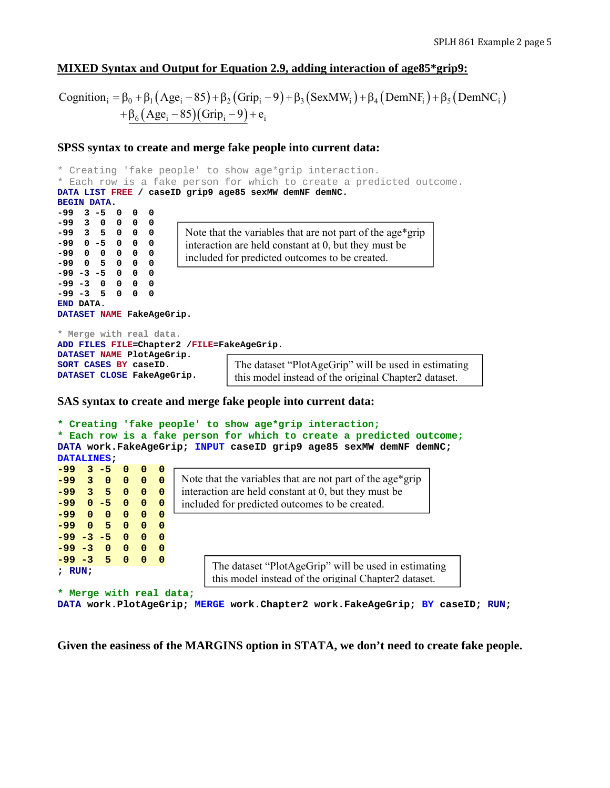# **MIXED Syntax and Output for Equation 2.9, adding interaction of age85\*grip9:**

```
Cognition<sub>i</sub> = \beta_0 + \beta_1 (Age<sub>i</sub> - 85) + \beta_2 (Grip<sub>i</sub> - 9) + \beta_3 (SexMW<sub>i</sub>) + \beta_4 (DemNF<sub>i</sub>) + \beta_5 (DemNC<sub>i</sub>)
+\beta_6(Age_i - 85)(Grip_i - 9) + e_i
```
### **SPSS syntax to create and merge fake people into current data:**

```
* Creating 'fake people' to show age*grip interaction.
* Each row is a fake person for which to create a predicted outcome.
DATA LIST FREE / caseID grip9 age85 sexMW demNF demNC. 
BEGIN DATA. 
-99 3 -5 0 0 0 
-99 3 0 0 0 0 
-99 3 5 0 0 0 
-99 0 -5 0 0 0 
-99 0 0 0 0 0 
-99 0 5 0 0 0 
-99 -3 -5 0 0 0 
-99 -3 0 0 0 0 
-99 -3 5 0 0 0 
END DATA. 
DATASET NAME FakeAgeGrip. 
* Merge with real data.
ADD FILES FILE=Chapter2 /FILE=FakeAgeGrip. 
DATASET NAME PlotAgeGrip. 
SORT CASES BY caseID. 
DATASET CLOSE FakeAgeGrip. 
                        Note that the variables that are not part of the age*grip 
                        interaction are held constant at 0, but they must be 
                        included for predicted outcomes to be created.
                                  The dataset "PlotAgeGrip" will be used in estimating 
                                  this model instead of the original Chapter2 dataset.
```
### **SAS syntax to create and merge fake people into current data:**

```
* Creating 'fake people' to show age*grip interaction;
* Each row is a fake person for which to create a predicted outcome;
DATA work.FakeAgeGrip; INPUT caseID grip9 age85 sexMW demNF demNC; 
DATALINES; 
-99 3 -5 0 0 0 
-99 3 0 0 0 0 
-99 3 5 0 0 0 
-99 0 -5 0 0 0 
-99 0 0 0 0 0 
-99 0 5 0 0 0 
-99 -3 -5 0 0 0 
-99 -3 0 0 0 0 
-99 -3 5 0 0 0 
; RUN; 
* Merge with real data;
                      Note that the variables that are not part of the age*grip 
                      interaction are held constant at 0, but they must be 
                      included for predicted outcomes to be created.
                            The dataset "PlotAgeGrip" will be used in estimating 
                            this model instead of the original Chapter2 dataset.
```

```
DATA work.PlotAgeGrip; MERGE work.Chapter2 work.FakeAgeGrip; BY caseID; RUN;
```
**Given the easiness of the MARGINS option in STATA, we don't need to create fake people.**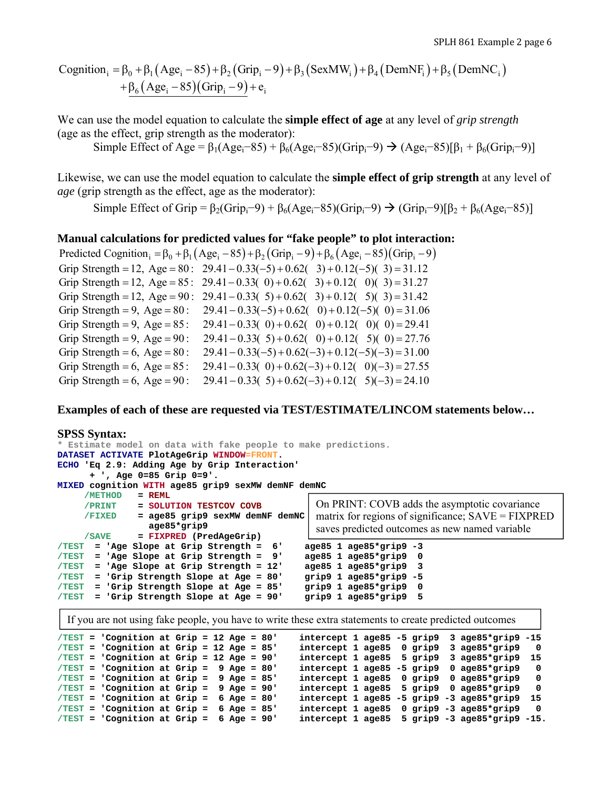\n
$$
\text{Cognition}_i = \beta_0 + \beta_1 \left( \text{Age}_i - 85 \right) + \beta_2 \left( \text{Grip}_i - 9 \right) + \beta_3 \left( \text{SexMW}_i \right) + \beta_4 \left( \text{DemNF}_i \right) + \beta_5 \left( \text{DemNC}_i \right) + \beta_6 \left( \text{Age}_i - 85 \right) \left( \text{Grip}_i - 9 \right) + e_i
$$
\n

We can use the model equation to calculate the **simple effect of age** at any level of *grip strength* (age as the effect, grip strength as the moderator):

Simple Effect of Age =  $\beta_1(Age_i-85) + \beta_6(Age_i-85)(Grip_i-9) \rightarrow (Age_i-85)[\beta_1 + \beta_6(Grip_i-9)]$ 

Likewise, we can use the model equation to calculate the **simple effect of grip strength** at any level of *age* (grip strength as the effect, age as the moderator):

Simple Effect of Grip =  $\beta_2$ (Grip<sub>i</sub>-9) +  $\beta_6$ (Age<sub>i</sub>-85)(Grip<sub>i</sub>-9)  $\rightarrow$  (Grip<sub>i</sub>-9)[ $\beta_2$  +  $\beta_6$ (Age<sub>i</sub>-85)]

# **Manual calculations for predicted values for "fake people" to plot interaction:**

|                                    | Predicted Cognition <sub>i</sub> = $\beta_0 + \beta_1(Age_i - 85) + \beta_2(Grip_i - 9) + \beta_6(Age_i - 85)(Grip_i - 9)$ |
|------------------------------------|----------------------------------------------------------------------------------------------------------------------------|
|                                    | Grip Strength = 12, Age = 80: $29.41 - 0.33(-5) + 0.62(-3) + 0.12(-5)(3) = 31.12$                                          |
|                                    | Grip Strength = 12, Age = 85: 29.41 - 0.33(0) + 0.62(3) + 0.12(0)(3) = 31.27                                               |
| Grip Strength = 12, Age = $90$ :   | $29.41 - 0.33(5) + 0.62(3) + 0.12(5)(3) = 31.42$                                                                           |
| Grip Strength = $9$ , Age = $80$ : | $29.41 - 0.33(-5) + 0.62(-0) + 0.12(-5)(0) = 31.06$                                                                        |
| Grip Strength = 9, Age = $85$ :    | $29.41 - 0.33(0) + 0.62(0) + 0.12(0)(0) = 29.41$                                                                           |
| Grip Strength = $9$ , Age = $90$ : | $29.41 - 0.33(5) + 0.62(0) + 0.12(5)(0) = 27.76$                                                                           |
| Grip Strength = $6$ , Age = $80$ : | $29.41 - 0.33(-5) + 0.62(-3) + 0.12(-5)(-3) = 31.00$                                                                       |
| Grip Strength = $6$ , Age = $85$ : | $29.41 - 0.33(0) + 0.62(-3) + 0.12(0)(-3) = 27.55$                                                                         |
| Grip Strength = $6$ , Age = $90$ : | $29.41 - 0.33(5) + 0.62(-3) + 0.12(5)(-3) = 24.10$                                                                         |

**Examples of each of these are requested via TEST/ESTIMATE/LINCOM statements below…** 

# **SPSS Syntax:**

| * Estimate model on data with fake people to make predictions.                                          |                                                                    |
|---------------------------------------------------------------------------------------------------------|--------------------------------------------------------------------|
| DATASET ACTIVATE PlotAgeGrip WINDOW=FRONT.                                                              |                                                                    |
| ECHO 'Eq 2.9: Adding Age by Grip Interaction'                                                           |                                                                    |
| $+$ ', Age 0=85 Grip 0=9'.                                                                              |                                                                    |
| MIXED cognition WITH age85 grip9 sexMW demNF demNC                                                      |                                                                    |
| $=$ REML<br>/METHOD                                                                                     |                                                                    |
| = SOLUTION TESTCOV COVB<br>/PRINT                                                                       | On PRINT: COVB adds the asymptotic covariance                      |
| <b>/FIXED</b><br>= age85 grip9 sexMW demNF demNC                                                        | matrix for regions of significance; $SAVE = FIXPRED$               |
| age85*grip9                                                                                             | saves predicted outcomes as new named variable                     |
| $=$ FIXPRED (PredAgeGrip)<br>/ SAVE                                                                     |                                                                    |
| = 'Age Slope at Grip Strength = 6'<br>/TEST                                                             | $age85 1 age85*grip9 -3$                                           |
| $=$ 'Age Slope at Grip Strength = $9'$<br>$/ \texttt{TEST}$                                             | age85 1 age85*grip9 0                                              |
| = 'Age Slope at Grip Strength = 12'<br>$/ \texttt{TEST}$                                                | age85 1 age85*grip9 3                                              |
| = 'Grip Strength Slope at Age = 80'<br>$/$ TEST                                                         | grip9 $1$ age85*grip9 -5                                           |
| = 'Grip Strength Slope at Age = 85'<br>$/ \texttt{TEST}$                                                | grip9 1 age85*grip9 0                                              |
| = 'Grip Strength Slope at Age = 90'<br>$/$ TEST                                                         | grip9 1 age85*grip9 5                                              |
|                                                                                                         |                                                                    |
| If you are not using fake people, you have to write these extra statements to create predicted outcomes |                                                                    |
| $/TEST = 'Cognition at Grip = 12 Age = 80'$                                                             | intercept 1 age85 -5 grip9 3 age85*grip9 -15                       |
| $/TEST = 'Condition at Grip = 12 Age = 85'$                                                             | intercept 1 age85 0 grip9 3 age85*grip9<br>0                       |
| $/TEST = 'Condition at Grip = 12 Aqe = 90'$                                                             | intercept 1 age85 5 grip9<br>$3 \text{ a}$ qe $85*$ qrip $9$<br>15 |

|  | $/TEST = 'Configuration at Grip = 12 Age = 90'$ |  |  |  |  |  |  | intercept 1 age85 5 grip9 3 age85*grip9 15    |            |
|--|-------------------------------------------------|--|--|--|--|--|--|-----------------------------------------------|------------|
|  | $/TEST = 'Configuration at Grip = 9 Age = 80'$  |  |  |  |  |  |  | intercept 1 age85 -5 grip9 0 age85*grip9      | - 0        |
|  | $/TEST = 'Cognition at Grip = 9 Age = 85'$      |  |  |  |  |  |  | intercept 1 age85 0 grip9 0 age85*grip9       |            |
|  | $/TEST = 'Cognition at Grip = 9 Age = 90'$      |  |  |  |  |  |  | intercept 1 age85 5 grip9 0 age85*grip9       | $^{\circ}$ |
|  | $/TEST = 'Cognition at Grip = 6 Age = 80'$      |  |  |  |  |  |  | intercept 1 age85 -5 grip9 -3 age85*grip9 15  |            |
|  | $/TEST = 'Condition at Grip = 6 Age = 85'$      |  |  |  |  |  |  | intercept $1$ age85 0 grip9 -3 age85*grip9 0  |            |
|  | $/TEST = 'Condition at Grip = 6 Age = 90'$      |  |  |  |  |  |  | intercept 1 age85 5 grip9 -3 age85*grip9 -15. |            |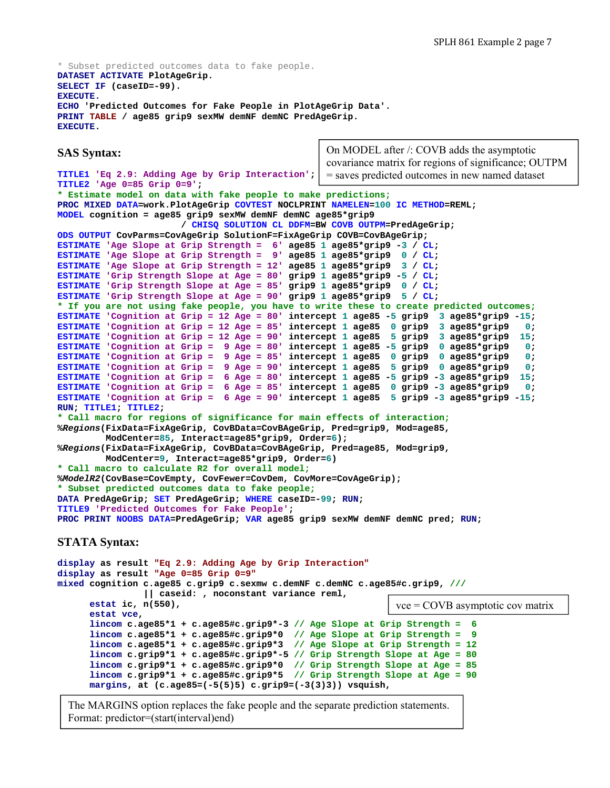```
* Subset predicted outcomes data to fake people.
DATASET ACTIVATE PlotAgeGrip. 
SELECT IF (caseID=-99). 
EXECUTE. 
ECHO 'Predicted Outcomes for Fake People in PlotAgeGrip Data'. 
PRINT TABLE / age85 grip9 sexMW demNF demNC PredAgeGrip. 
EXECUTE.
```
**TITLE1 'Eq 2.9: Adding Age by Grip Interaction';** 

### **SAS Syntax:**

On MODEL after /: COVB adds the asymptotic covariance matrix for regions of significance; OUTPM = saves predicted outcomes in new named dataset

```
TITLE2 'Age 0=85 Grip 0=9'; 
* Estimate model on data with fake people to make predictions;
PROC MIXED DATA=work.PlotAgeGrip COVTEST NOCLPRINT NAMELEN=100 IC METHOD=REML; 
MODEL cognition = age85 grip9 sexMW demNF demNC age85*grip9 
                        / CHISQ SOLUTION CL DDFM=BW COVB OUTPM=PredAgeGrip; 
ODS OUTPUT CovParms=CovAgeGrip SolutionF=FixAgeGrip COVB=CovBAgeGrip; 
ESTIMATE 'Age Slope at Grip Strength = 6' age85 1 age85*grip9 -3 / CL; 
ESTIMATE 'Age Slope at Grip Strength = 9' age85 1 age85*grip9 0 / CL; 
ESTIMATE 'Age Slope at Grip Strength = 12' age85 1 age85*grip9 3 / CL; 
ESTIMATE 'Grip Strength Slope at Age = 80' grip9 1 age85*grip9 -5 / CL; 
ESTIMATE 'Grip Strength Slope at Age = 85' grip9 1 age85*grip9 0 / CL; 
ESTIMATE 'Grip Strength Slope at Age = 90' grip9 1 age85*grip9 5 / CL; 
* If you are not using fake people, you have to write these to create predicted outcomes;
ESTIMATE 'Cognition at Grip = 12 Age = 80' intercept 1 age85 -5 grip9 3 age85*grip9 -15; 
ESTIMATE 'Cognition at Grip = 12 Age = 85' intercept 1 age85 0 grip9 3 age85*grip9
ESTIMATE 'Cognition at Grip = 12 Age = 90' intercept 1 age85 5 grip9 3 age85*grip9 15; 
ESTIMATE 'Cognition at Grip = 9 Age = 80' intercept 1 age85 -5 grip9 0 age85*grip9 0; 
ESTIMATE 'Cognition at Grip = 9 Age = 85' intercept 1 age85 0 grip9 0 age85*grip9 0; 
ESTIMATE 'Cognition at Grip = 9 Age = 90' intercept 1 age85 5 grip9 0 age85*grip9 0; 
ESTIMATE 'Cognition at Grip = 6 Age = 80' intercept 1 age85 -5 grip9 -3 age85*grip9 15; 
ESTIMATE 'Cognition at Grip = 6 Age = 85' intercept 1 age85 0 grip9 -3 age85*grip9 0; 
ESTIMATE 'Cognition at Grip = 6 Age = 90' intercept 1 age85 5 grip9 -3 age85*grip9 -15; 
RUN; TITLE1; TITLE2; 
* Call macro for regions of significance for main effects of interaction;
%Regions(FixData=FixAgeGrip, CovBData=CovBAgeGrip, Pred=grip9, Mod=age85, 
         ModCenter=85, Interact=age85*grip9, Order=6); 
%Regions(FixData=FixAgeGrip, CovBData=CovBAgeGrip, Pred=age85, Mod=grip9, 
         ModCenter=9, Interact=age85*grip9, Order=6) 
* Call macro to calculate R2 for overall model;
%ModelR2(CovBase=CovEmpty, CovFewer=CovDem, CovMore=CovAgeGrip); 
* Subset predicted outcomes data to fake people;
DATA PredAgeGrip; SET PredAgeGrip; WHERE caseID=-99; RUN; 
TITLE9 'Predicted Outcomes for Fake People'; 
PROC PRINT NOOBS DATA=PredAgeGrip; VAR age85 grip9 sexMW demNF demNC pred; RUN; 
STATA Syntax:
```

```
display as result "Eq 2.9: Adding Age by Grip Interaction"
display as result "Age 0=85 Grip 0=9"
mixed cognition c.age85 c.grip9 c.sexmw c.demNF c.demNC c.age85#c.grip9, /// 
                 || caseid: , noconstant variance reml, 
       estat ic, n(550), 
       estat vce, 
       lincom c.age85*1 + c.age85#c.grip9*-3 // Age Slope at Grip Strength = 6 
       lincom c.age85*1 + c.age85#c.grip9*0 // Age Slope at Grip Strength = 9
       lincom c.age85*1 + c.age85#c.grip9*3 // Age Slope at Grip Strength = 12
       lincom c.grip9*1 + c.age85#c.grip9*-5 // Grip Strength Slope at Age = 80
 lincom c.grip9*1 + c.age85#c.grip9*0 // Grip Strength Slope at Age = 85
 lincom c.grip9*1 + c.age85#c.grip9*5 // Grip Strength Slope at Age = 90 
      margins, at (c.age85=(-5(5)5) c.grip9=(-3(3)3)) vsquish, 
                                                                vce = COVB asymptotic cov matrix
```
The MARGINS option replaces the fake people and the separate prediction statements. Format: predictor=(start(interval)end)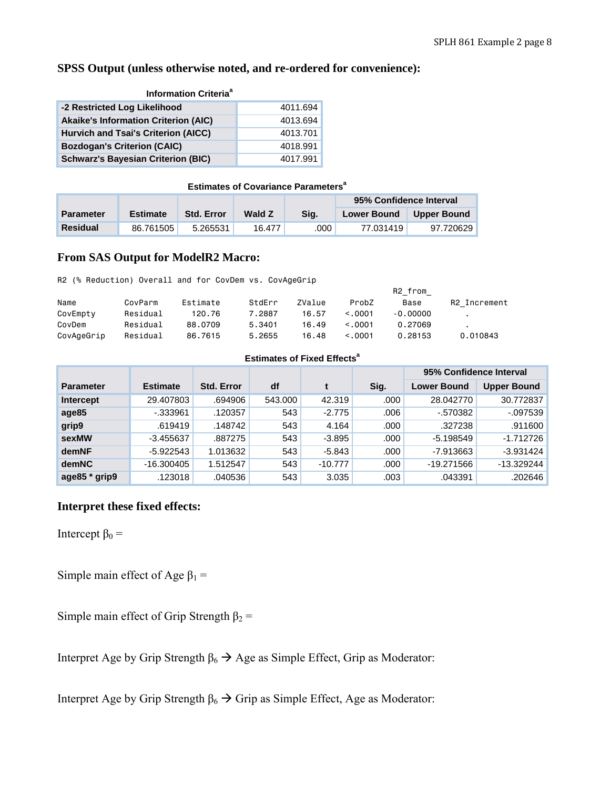# **SPSS Output (unless otherwise noted, and re-ordered for convenience):**

| <b>Information Criteria<sup>a</sup></b>     |          |  |  |  |  |  |  |  |  |  |
|---------------------------------------------|----------|--|--|--|--|--|--|--|--|--|
| -2 Restricted Log Likelihood                | 4011.694 |  |  |  |  |  |  |  |  |  |
| <b>Akaike's Information Criterion (AIC)</b> | 4013.694 |  |  |  |  |  |  |  |  |  |
| Hurvich and Tsai's Criterion (AICC)         | 4013.701 |  |  |  |  |  |  |  |  |  |
| <b>Bozdogan's Criterion (CAIC)</b>          | 4018.991 |  |  |  |  |  |  |  |  |  |
| <b>Schwarz's Bayesian Criterion (BIC)</b>   | 4017.991 |  |  |  |  |  |  |  |  |  |

#### **Estimates of Covariance Parameters<sup>a</sup>**

|                  |                 |                   |        |      | 95% Confidence Interval |                    |
|------------------|-----------------|-------------------|--------|------|-------------------------|--------------------|
| <b>Parameter</b> | <b>Estimate</b> | <b>Std. Error</b> | Wald Z | Sia. | <b>Lower Bound</b>      | <b>Upper Bound</b> |
| <b>Residual</b>  | 86.761505       | 5.265531          | 16.477 | .000 | 77.031419」              | 97.720629          |

# **From SAS Output for ModelR2 Macro:**

R2 (% Reduction) Overall and for CovDem vs. CovAgeGrip

|            |          |          |        |        |         | R2 from    |              |
|------------|----------|----------|--------|--------|---------|------------|--------------|
| Name       | CovParm  | Estimate | StdErr | ZValue | ProbZ   | Base       | R2 Increment |
| CovEmpty   | Residual | 120.76   | 7.2887 | 16.57  | < 0.001 | $-0.00000$ |              |
| CovDem     | Residual | 88.0709  | 5.3401 | 16.49  | <.0001  | 0.27069    |              |
| CovAgeGrip | Residual | 86,7615  | 5.2655 | 16.48  | < 0.001 | 0.28153    | 0.010843     |

### **Estimates of Fixed Effects<sup>a</sup>**

|                     |                 |                   |         |           |      | 95% Confidence Interval |                    |
|---------------------|-----------------|-------------------|---------|-----------|------|-------------------------|--------------------|
| <b>Parameter</b>    | <b>Estimate</b> | <b>Std. Error</b> | df      |           | Sig. | <b>Lower Bound</b>      | <b>Upper Bound</b> |
| Intercept           | 29.407803       | .694906           | 543,000 | 42.319    | .000 | 28.042770               | 30.772837          |
| age85               | $-0.333961$     | .120357           | 543     | $-2.775$  | .006 | $-570382$               | $-097539$          |
| grip9               | .619419         | .148742           | 543     | 4.164     | .000 | .327238                 | .911600            |
| sexMW               | $-3.455637$     | .887275           | 543     | $-3.895$  | .000 | $-5.198549$             | $-1.712726$        |
| demNF               | $-5.922543$     | 1.013632          | 543     | $-5.843$  | .000 | $-7.913663$             | $-3.931424$        |
| <b>demNC</b>        | $-16.300405$    | 1.512547          | 543     | $-10.777$ | .000 | $-19.271566$            | $-13.329244$       |
| age $85 *$ grip $9$ | .123018         | .040536           | 543     | 3.035     | .003 | .043391                 | .202646            |

# **Interpret these fixed effects:**

Intercept  $β_0 =$ 

Simple main effect of Age  $\beta_1$  =

Simple main effect of Grip Strength  $\beta_2$  =

Interpret Age by Grip Strength  $\beta_6 \rightarrow \text{Age}$  as Simple Effect, Grip as Moderator:

Interpret Age by Grip Strength  $\beta_6 \rightarrow$  Grip as Simple Effect, Age as Moderator: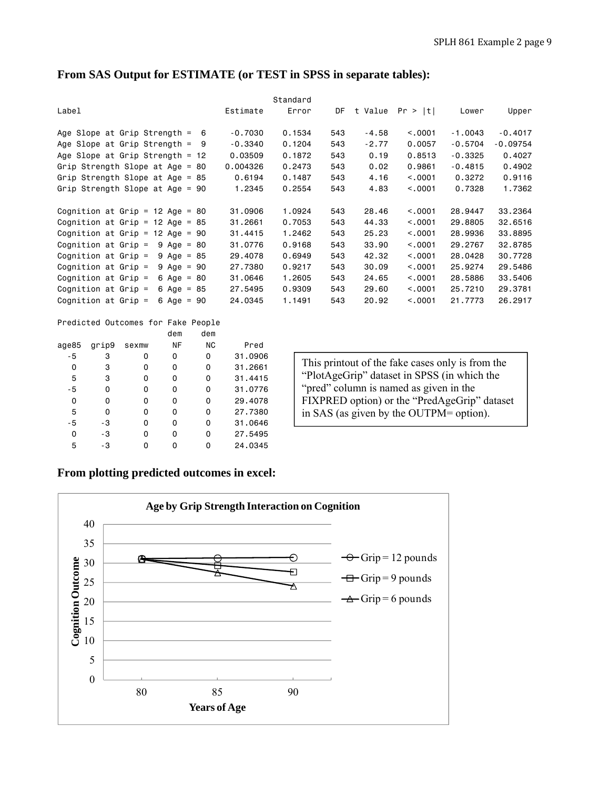| From SAS Output for ESTIMATE (or TEST in SPSS in separate tables): |  |
|--------------------------------------------------------------------|--|
|--------------------------------------------------------------------|--|

|                                               |           | Standard |     |         |          |           |            |
|-----------------------------------------------|-----------|----------|-----|---------|----------|-----------|------------|
| Label                                         | Estimate  | Error    | DF  | t Value | Pr >  t  | Lower     | Upper      |
| Age Slope at Grip Strength =<br>-6            | $-0.7030$ | 0.1534   | 543 | $-4.58$ | < 0.001  | $-1.0043$ | $-0.4017$  |
| Age Slope at Grip Strength $=$<br>9           | $-0.3340$ | 0.1204   | 543 | $-2.77$ | 0.0057   | $-0.5704$ | $-0.09754$ |
| Age Slope at Grip Strength = $12$             | 0.03509   | 0.1872   | 543 | 0.19    | 0.8513   | $-0.3325$ | 0.4027     |
| Grip Strength Slope at Age = 80               | 0.004326  | 0.2473   | 543 | 0.02    | 0.9861   | $-0.4815$ | 0.4902     |
| Grip Strength Slope at Age $=$<br>85          | 0.6194    | 0.1487   | 543 | 4.16    | < 0.0001 | 0.3272    | 0.9116     |
| Grip Strength Slope at Age = $90$             | 1.2345    | 0.2554   | 543 | 4.83    | < 0.001  | 0.7328    | 1.7362     |
|                                               |           |          |     |         |          |           |            |
| Cognition at Grip = $12$ Age = 80             | 31,0906   | 1,0924   | 543 | 28,46   | < 0.0001 | 28.9447   | 33,2364    |
| Cognition at Grip $=$<br>12 Age = $85$        | 31,2661   | 0.7053   | 543 | 44.33   | < 0.0001 | 29,8805   | 32,6516    |
| Cognition at Grip $=$<br>12 Age = $90$        | 31,4415   | 1,2462   | 543 | 25.23   | < 0.0001 | 28,9936   | 33,8895    |
| Cognition at Grip $=$<br>9 Age<br>$= 80$      | 31,0776   | 0.9168   | 543 | 33.90   | < 0.001  | 29,2767   | 32,8785    |
| Cognition at Grip $=$<br>$9 \text{ Age} = 85$ | 29,4078   | 0.6949   | 543 | 42.32   | < 0.0001 | 28,0428   | 30.7728    |
| Cognition at Grip $=$<br>9 Age<br>$=$<br>90   | 27,7380   | 0.9217   | 543 | 30.09   | < 0.0001 | 25,9274   | 29,5486    |
| Cognition at Grip $=$<br>6 Age $=$<br>-80     | 31,0646   | 1,2605   | 543 | 24,65   | < 0.0001 | 28,5886   | 33,5406    |
| Cognition at Grip $=$<br>6 Age $=$<br>85      | 27,5495   | 0.9309   | 543 | 29.60   | < 0.0001 | 25.7210   | 29,3781    |
| Cognition at Grip $=$<br>6 Age = $90$         | 24,0345   | 1.1491   | 543 | 20.92   | < 0.001  | 21,7773   | 26,2917    |
|                                               |           |          |     |         |          |           |            |

# Predicted Outcomes for Fake People<br>dem dem

|       |       |       | dem | dem       |         |
|-------|-------|-------|-----|-----------|---------|
| age85 | grip9 | sexmw | NF  | <b>NC</b> | Pred    |
| $-5$  | 3     | 0     | 0   | 0         | 31,0906 |
| 0     | 3     | 0     | 0   | 0         | 31,2661 |
| 5     | 3     | 0     | 0   | 0         | 31.4415 |
| - 5   | 0     | 0     | 0   | 0         | 31,0776 |
| 0     | 0     | 0     | 0   | 0         | 29,4078 |
| 5     | 0     | 0     | 0   | 0         | 27,7380 |
| - 5   | -3    | 0     | 0   | 0         | 31,0646 |
| 0     | -3    | 0     | 0   | 0         | 27.5495 |
| 5     | -3    | ი     | ŋ   | ი         | 24,0345 |

This printout of the fake cases only is from the "PlotAgeGrip" dataset in SPSS (in which the "pred" column is named as given in the FIXPRED option) or the "PredAgeGrip" dataset in SAS (as given by the OUTPM= option).

# **From plotting predicted outcomes in excel:**

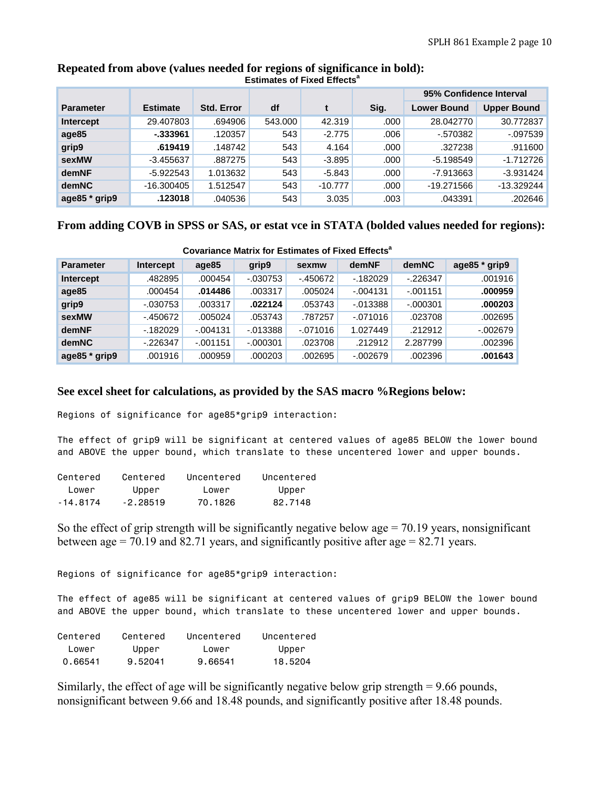|                  |                 |                   |         |           |      | 95% Confidence Interval |                    |
|------------------|-----------------|-------------------|---------|-----------|------|-------------------------|--------------------|
| <b>Parameter</b> | <b>Estimate</b> | <b>Std. Error</b> | df      |           | Sig. | <b>Lower Bound</b>      | <b>Upper Bound</b> |
| Intercept        | 29.407803       | .694906           | 543.000 | 42.319    | .000 | 28.042770               | 30.772837          |
| age85            | -.333961        | .120357           | 543     | $-2.775$  | .006 | $-570382$               | $-097539$          |
| grip9            | .619419         | .148742           | 543     | 4.164     | .000 | .327238                 | .911600            |
| sexMW            | $-3.455637$     | .887275           | 543     | $-3.895$  | .000 | $-5.198549$             | $-1.712726$        |
| demNF            | $-5.922543$     | 1.013632          | 543     | $-5.843$  | .000 | $-7.913663$             | $-3.931424$        |
| <b>demNC</b>     | $-16.300405$    | 1.512547          | 543     | $-10.777$ | .000 | $-19.271566$            | $-13.329244$       |
| age85 * grip9    | .123018         | .040536           | 543     | 3.035     | .003 | .043391                 | .202646            |

### **Repeated from above (values needed for regions of significance in bold): Estimates of Fixed Effects<sup>a</sup>**

# **From adding COVB in SPSS or SAS, or estat vce in STATA (bolded values needed for regions):**

| <u>oovananoo matrix iyi catiinatoo ol Fixou choqta</u> |            |            |             |           |             |             |               |  |  |
|--------------------------------------------------------|------------|------------|-------------|-----------|-------------|-------------|---------------|--|--|
| <b>Parameter</b>                                       | Intercept  | age85      | grip9       | sexmw     | demNF       | demNC       | age85 * grip9 |  |  |
| Intercept                                              | .482895    | .000454    | $-0.30753$  | $-450672$ | $-182029$   | $-226347$   | .001916       |  |  |
| age85                                                  | .000454    | .014486    | .003317     | .005024   | $-0.004131$ | $-0.001151$ | .000959       |  |  |
| grip9                                                  | $-0.30753$ | .003317    | .022124     | .053743   | $-013388$   | $-.000301$  | .000203       |  |  |
| sexMW                                                  | $-450672$  | .005024    | .053743     | .787257   | $-071016$   | .023708     | .002695       |  |  |
| demNF                                                  | $-182029$  | $-0.04131$ | $-0.013388$ | $-071016$ | 1.027449    | .212912     | $-.002679$    |  |  |
| demNC                                                  | $-226347$  | $-001151$  | $-0.000301$ | .023708   | .212912     | 2.287799    | .002396       |  |  |
| age85 * grip9                                          | .001916    | .000959    | .000203     | .002695   | $-002679$   | .002396     | .001643       |  |  |

#### **Covariance Matrix for Estimates of Fixed Effects<sup>a</sup>**

# **See excel sheet for calculations, as provided by the SAS macro %Regions below:**

Regions of significance for age85\*grip9 interaction:

The effect of grip9 will be significant at centered values of age85 BELOW the lower bound and ABOVE the upper bound, which translate to these uncentered lower and upper bounds.

| Centered | Centered   | Uncentered | Uncentered |
|----------|------------|------------|------------|
| l ower   | Upper      | lower      | Upper      |
| -14.8174 | $-2.28519$ | 70.1826    | 82.7148    |

So the effect of grip strength will be significantly negative below age  $= 70.19$  years, nonsignificant between age  $= 70.19$  and 82.71 years, and significantly positive after age  $= 82.71$  years.

Regions of significance for age85\*grip9 interaction:

The effect of age85 will be significant at centered values of grip9 BELOW the lower bound and ABOVE the upper bound, which translate to these uncentered lower and upper bounds.

| Centered | Centered | Uncentered | Uncentered |
|----------|----------|------------|------------|
| l ower   | Upper    | l ower     | Upper      |
| 0.66541  | 9.52041  | 9.66541    | 18.5204    |

Similarly, the effect of age will be significantly negative below grip strength = 9.66 pounds, nonsignificant between 9.66 and 18.48 pounds, and significantly positive after 18.48 pounds.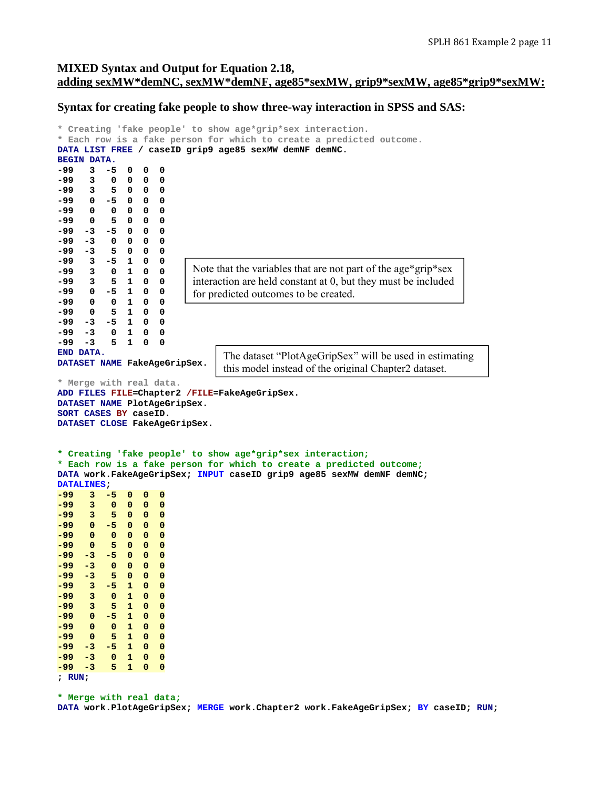# **MIXED Syntax and Output for Equation 2.18, adding sexMW\*demNC, sexMW\*demNF, age85\*sexMW, grip9\*sexMW, age85\*grip9\*sexMW:**

#### **Syntax for creating fake people to show three-way interaction in SPSS and SAS:**

```
* Creating 'fake people' to show age*grip*sex interaction. 
* Each row is a fake person for which to create a predicted outcome. 
DATA LIST FREE / caseID grip9 age85 sexMW demNF demNC. 
BEGIN DATA. 
-99 3 -5 0 0 0 
-99 3 0 0 0 0 
-99 3 5 0 0 0 
        -5 0 0
-99 0 0 0 0 0 
-99 0 5 0 0 0 
-99 -3 -5 0 0 0 
-99 -3 0 0 0 0 
-99 -3 5 0 0 0 
    -99 3 -5 1 0 0 
-99 3 0 1 0 0 
        -99 3 5 1 0 0 
-99 0 -5 1 0 0 
    -99 0 0 1 0 0 
-99 0 5 1 0 0 
-99 -3 -5 1 0 0 
-99 -3 0 1 0 0 
-99 -3 5 1 0 0 
END DATA. 
DATASET NAME FakeAgeGripSex. 
* Merge with real data. 
ADD FILES FILE=Chapter2 /FILE=FakeAgeGripSex. 
DATASET NAME PlotAgeGripSex. 
SORT CASES BY caseID. 
DATASET CLOSE FakeAgeGripSex. 
* Creating 'fake people' to show age*grip*sex interaction;
* Each row is a fake person for which to create a predicted outcome;
DATA work.FakeAgeGripSex; INPUT caseID grip9 age85 sexMW demNF demNC; 
DATALINES; 
    -99 3 -5 0 0 0 
-99 3 0 0 0 0 
-99 3 5 0 0 0 
-99 0 -5 0 0 0 
-99 0 0 0 0 0 
-99 0 5 0 0 0 
-99 -3 -5 0 0 0 
-99 -3 0 0 0 0 
        -99 -3 5 0 0 0 
-99 3 -5 1 0 0 
-99 3 0 1 0 0 
-99 3 5 1 0 0 
-99 0 -5 1 0 0 
-99 0 0 1 0 0 
-99 0 5 1 0 0 
        -99 -3 -5 1 0 0 
-99 -3 0 1 0 0 
-99 -3 5 1 0 0 
; RUN; 
* Merge with real data;
                        Note that the variables that are not part of the age*grip*sex 
                        interaction are held constant at 0, but they must be included 
                        for predicted outcomes to be created.
                              The dataset "PlotAgeGripSex" will be used in estimating 
                              this model instead of the original Chapter2 dataset.
```
**DATA work.PlotAgeGripSex; MERGE work.Chapter2 work.FakeAgeGripSex; BY caseID; RUN;**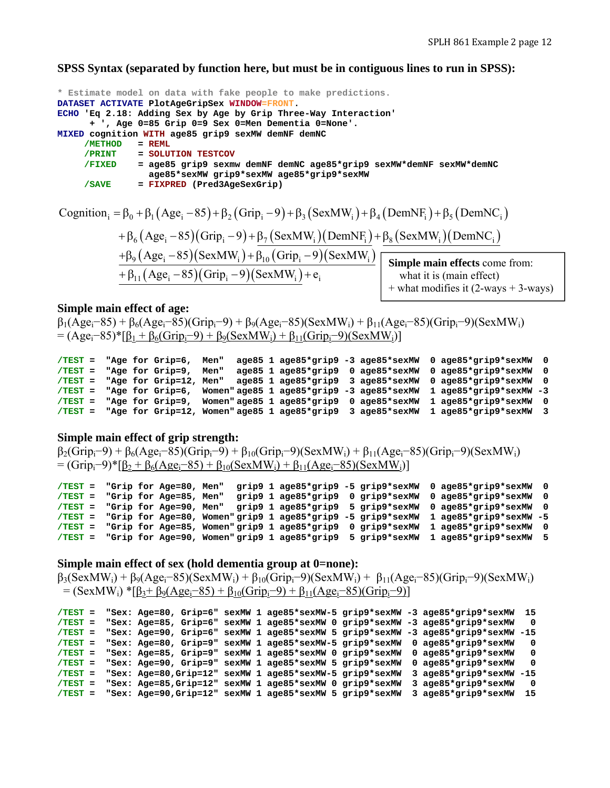**SPSS Syntax (separated by function here, but must be in contiguous lines to run in SPSS):**

```
* Estimate model on data with fake people to make predictions. 
DATASET ACTIVATE PlotAgeGripSex WINDOW=FRONT. 
ECHO 'Eq 2.18: Adding Sex by Age by Grip Three-Way Interaction' 
       + ', Age 0=85 Grip 0=9 Sex 0=Men Dementia 0=None'. 
MIXED cognition WITH age85 grip9 sexMW demNF demNC 
      /METHOD = REML
      /PRINT = SOLUTION TESTCOV 
              /FIXED = age85 grip9 sexmw demNF demNC age85*grip9 sexMW*demNF sexMW*demNC 
                  age85*sexMW grip9*sexMW age85*grip9*sexMW 
      /SAVE = FIXPRED (Pred3AgeSexGrip)
```

```
Cognition<sub>i</sub> = \beta_0 + \beta_1 (Age<sub>i</sub> - 85) + \beta_2 (Grip<sub>i</sub> - 9) + \beta_3 (SexMW<sub>i</sub>) + \beta_4 (DemNF<sub>i</sub>) + \beta_5 (DemNC<sub>i</sub>)
+\beta_6(Age_i-85)(Grip_i-9)+\beta_7(SexMW_i)(DemNF_i)+\beta_8(SexMW_i)(DemNC_i)+\beta_9 (Age_i -85)(SexMW_i)+\beta_{10} (Grip_i -9)(SexMW_i)+\beta_{11} (Age_i - 85) (Grip_i - 9) (SexMW_i) + e_iSimple main effects come from: 
                                                                                         what it is (main effect) 
                                                                                     + what modifies it (2-ways + 3-ways)
```
#### **Simple main effect of age:**

 $\beta_1(Age_i-85) + \beta_6(Age_i-85)(Grip_i-9) + \beta_9(Age_i-85)(SexMW_i) + \beta_{11}(Age_i-85)(Grip_i-9)(SexMW_i)$  $= (Age_i-85)^*[\underline{\beta}_1 + \underline{\beta}_6(Grip_i-9) + \underline{\beta}_9(SexMW_i) + \underline{\beta}_{11}(Grip_i-9)(SexMW_i)]$ 

```
/TEST = "Age for Grip=6, Men" age85 1 age85*grip9 -3 age85*sexMW 0 age85*grip9*sexMW 0 
        /TEST = "Age for Grip=9, Men" age85 1 age85*grip9 0 age85*sexMW 0 age85*grip9*sexMW 0 
/TEST = "Age for Grip=12, Men" age85 1 age85*grip9 3 age85*sexMW 0 age85*grip9*sexMW 0 
/TEST = "Age for Grip=6, Women" age85 1 age85*grip9 -3 age85*sexMW 1 age85*grip9*sexMW -3 
/TEST = "Age for Grip=9, Women" age85 1 age85*grip9 0 age85*sexMW 1 age85*grip9*sexMW 0 
/TEST = "Age for Grip=12, Women" age85 1 age85*grip9 3 age85*sexMW 1 age85*grip9*sexMW 3
```
### **Simple main effect of grip strength:**

```
\beta_2(\text{Grip}_i-9) + \beta_6(\text{Age}_i-85)(\text{Grip}_i-9) + \beta_{10}(\text{Grip}_i-9)(\text{SexMW}_i) + \beta_{11}(\text{Age}_i-85)(\text{Grip}_i-9)(\text{SexMW}_i)= (Grip<sub>i</sub>–9)*[β<sub>2</sub> + β<sub>6</sub>(Age<sub>i</sub>–85) + β<sub>10</sub>(SexMW<sub>i</sub>) + β<sub>11</sub>(Age<sub>i</sub>–85)(SexMW<sub>i</sub>)]
```

```
/TEST = "Grip for Age=80, Men" grip9 1 age85*grip9 -5 grip9*sexMW 0 age85*grip9*sexMW 0 
/TEST = "Grip for Age=85, Men" grip9 1 age85*grip9 0 grip9*sexMW 0 age85*grip9*sexMW 0 
/TEST = "Grip for Age=90, Men" grip9 1 age85*grip9 5 grip9*sexMW 0 age85*grip9*sexMW 0 
/TEST = "Grip for Age=80, Women" grip9 1 age85*grip9 -5 grip9*sexMW 1 age85*grip9*sexMW -5 
/TEST = "Grip for Age=85, Women" grip9 1 age85*grip9 0 grip9*sexMW 1 age85*grip9*sexMW 0 
/TEST = "Grip for Age=90, Women" grip9 1 age85*grip9 5 grip9*sexMW 1 age85*grip9*sexMW 5
```
#### **Simple main effect of sex (hold dementia group at 0=none):**

 $\beta_3$ (SexMW<sub>i</sub>) +  $\beta_9$ (Age<sub>i</sub>–85)(SexMW<sub>i</sub>) +  $\beta_{10}$ (Grip<sub>i</sub>–9)(SexMW<sub>i</sub>) +  $\beta_{11}$ (Age<sub>i</sub>–85)(Grip<sub>i</sub>–9)(SexMW<sub>i</sub>)  $=$  (SexMW<sub>i</sub>) \*[β<sub>3</sub>+ β<sub>9</sub>(Age<sub>i</sub>–85) + β<sub>10</sub>(Grip<sub>i</sub>–9) + β<sub>11</sub>(Age<sub>i</sub>–85)(Grip<sub>i</sub>–9)]

```
/TEST = "Sex: Age=80, Grip=6" sexMW 1 age85*sexMW-5 grip9*sexMW -3 age85*grip9*sexMW 15 
/TEST = "Sex: Age=85, Grip=6" sexMW 1 age85*sexMW 0 grip9*sexMW -3 age85*grip9*sexMW 0 
/TEST = "Sex: Age=90, Grip=6" sexMW 1 age85*sexMW 5 grip9*sexMW -3 age85*grip9*sexMW -15 
/TEST = "Sex: Age=80, Grip=9" sexMW 1 age85*sexMW-5 grip9*sexMW 0 age85*grip9*sexMW 0 
/TEST = "Sex: Age=85, Grip=9" sexMW 1 age85*sexMW 0 grip9*sexMW 0 age85*grip9*sexMW 0 
/TEST = "Sex: Age=90, Grip=9" sexMW 1 age85*sexMW 5 grip9*sexMW 0 age85*grip9*sexMW 0 
/TEST = "Sex: Age=80,Grip=12" sexMW 1 age85*sexMW-5 grip9*sexMW 3 age85*grip9*sexMW -15 
/TEST = "Sex: Age=85,Grip=12" sexMW 1 age85*sexMW 0 grip9*sexMW 3 age85*grip9*sexMW 0 
/TEST = "Sex: Age=90,Grip=12" sexMW 1 age85*sexMW 5 grip9*sexMW 3 age85*grip9*sexMW 15
```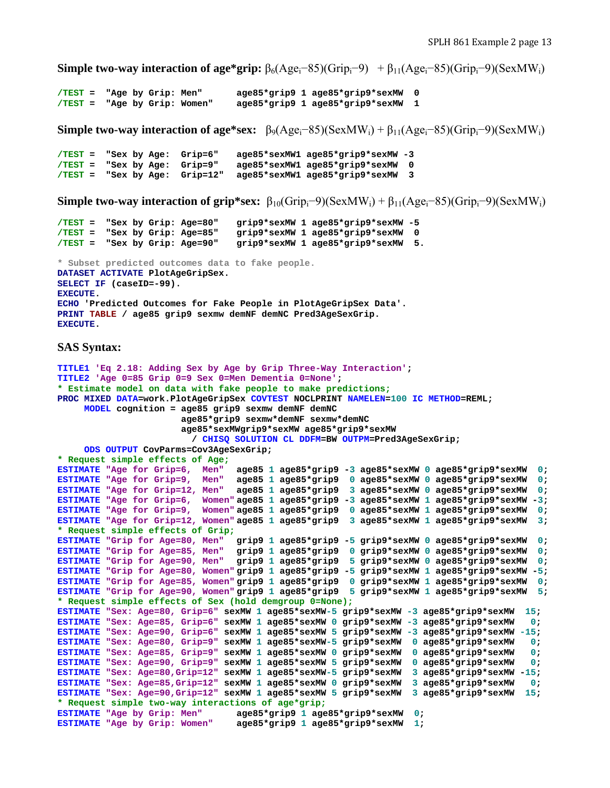**Simple two-way interaction of age\*grip:**  $\beta_6(Age_i-85)(Grip_i-9) + \beta_{11}(Age_i-85)(Grip_i-9)(SexMW_i)$ 

```
/TEST = "Age by Grip: Men" age85*grip9 1 age85*grip9*sexMW 0 
                                        /TEST = "Age by Grip: Women" age85*grip9 1 age85*grip9*sexMW 1
```
**Simple two-way interaction of age\*sex:**  $\beta_9(Age_i-85)(SexMW_i) + \beta_{11}(Age_i-85)(Grip_i-9)(SexMW_i)$ 

```
/TEST = "Sex by Age: Grip=6" age85*sexMW1 age85*grip9*sexMW -3 
/TEST = "Sex by Age: Grip=9" age85*sexMW1 age85*grip9*sexMW 0 
/TEST = "Sex by Age: Grip=12" age85*sexMW1 age85*grip9*sexMW 3
```
**Simple two-way interaction of grip\*sex:**  $\beta_{10}(Grip_i-9)(SexMW_i) + \beta_{11}(Age_i-85)(Grip_i-9)(SexMW_i)$ 

```
/TEST = "Sex by Grip: Age=80" grip9*sexMW 1 age85*grip9*sexMW -5 
/TEST = "Sex by Grip: Age=85" grip9*sexMW 1 age85*grip9*sexMW 0 
/TEST = "Sex by Grip: Age=90" grip9*sexMW 1 age85*grip9*sexMW 5. 
* Subset predicted outcomes data to fake people. 
DATASET ACTIVATE PlotAgeGripSex. 
SELECT IF (caseID=-99). 
EXECUTE. 
ECHO 'Predicted Outcomes for Fake People in PlotAgeGripSex Data'. 
PRINT TABLE / age85 grip9 sexmw demNF demNC Pred3AgeSexGrip. 
EXECUTE.
```
### **SAS Syntax:**

```
TITLE1 'Eq 2.18: Adding Sex by Age by Grip Three-Way Interaction'; 
TITLE2 'Age 0=85 Grip 0=9 Sex 0=Men Dementia 0=None'; 
* Estimate model on data with fake people to make predictions;
PROC MIXED DATA=work.PlotAgeGripSex COVTEST NOCLPRINT NAMELEN=100 IC METHOD=REML; 
      MODEL cognition = age85 grip9 sexmw demNF demNC 
                        age85*grip9 sexmw*demNF sexmw*demNC 
                        age85*sexMWgrip9*sexMW age85*grip9*sexMW 
                          / CHISQ SOLUTION CL DDFM=BW OUTPM=Pred3AgeSexGrip; 
      ODS OUTPUT CovParms=Cov3AgeSexGrip; 
* Request simple effects of Age; 
ESTIMATE "Age for Grip=6, Men" age85 1 age85*grip9 -3 age85*sexMW 0 age85*grip9*sexMW 0; 
ESTIMATE "Age for Grip=9, Men" age85 1 age85*grip9 0 age85*sexMW 0 age85*grip9*sexMW 0; 
ESTIMATE "Age for Grip=12, Men" age85 1 age85*grip9 3 age85*sexMW 0 age85*grip9*sexMW 0; 
ESTIMATE "Age for Grip=6, Women" age85 1 age85*grip9 -3 age85*sexMW 1 age85*grip9*sexMW -3; 
ESTIMATE "Age for Grip=9, Women" age85 1 age85*grip9 0 age85*sexMW 1 age85*grip9*sexMW 0; 
ESTIMATE "Age for Grip=12, Women" age85 1 age85*grip9 3 age85*sexMW 1 age85*grip9*sexMW 3; 
* Request simple effects of Grip; 
ESTIMATE "Grip for Age=80, Men" grip9 1 age85*grip9 -5 grip9*sexMW 0 age85*grip9*sexMW 0; 
ESTIMATE "Grip for Age=85, Men" grip9 1 age85*grip9 0 grip9*sexMW 0 age85*grip9*sexMW 0; 
ESTIMATE "Grip for Age=90, Men" grip9 1 age85*grip9 5 grip9*sexMW 0 age85*grip9*sexMW 0; 
ESTIMATE "Grip for Age=80, Women" grip9 1 age85*grip9 -5 grip9*sexMW 1 age85*grip9*sexMW -5; 
ESTIMATE "Grip for Age=85, Women" grip9 1 age85*grip9 0 grip9*sexMW 1 age85*grip9*sexMW 0; 
ESTIMATE "Grip for Age=90, Women" grip9 1 age85*grip9 5 grip9*sexMW 1 age85*grip9*sexMW 5; 
* Request simple effects of Sex (hold demgroup 0=None); 
ESTIMATE "Sex: Age=80, Grip=6" sexMW 1 age85*sexMW-5 grip9*sexMW -3 age85*grip9*sexMW 15; 
ESTIMATE "Sex: Age=85, Grip=6" sexMW 1 age85*sexMW 0 grip9*sexMW -3 age85*grip9*sexMW 0; 
ESTIMATE "Sex: Age=90, Grip=6" sexMW 1 age85*sexMW 5 grip9*sexMW -3 age85*grip9*sexMW -15; 
ESTIMATE "Sex: Age=80, Grip=9" sexMW 1 age85*sexMW-5 grip9*sexMW 0 age85*grip9*sexMW 0; 
ESTIMATE "Sex: Age=85, Grip=9" sexMW 1 age85*sexMW 0 grip9*sexMW 0 age85*grip9*sexMW 0; 
ESTIMATE "Sex: Age=90, Grip=9" sexMW 1 age85*sexMW 5 grip9*sexMW 0 age85*grip9*sexMW 0; 
ESTIMATE "Sex: Age=80,Grip=12" sexMW 1 age85*sexMW-5 grip9*sexMW 3 age85*grip9*sexMW -15; 
ESTIMATE "Sex: Age=85,Grip=12" sexMW 1 age85*sexMW 0 grip9*sexMW 3 age85*grip9*sexMW 0; 
ESTIMATE "Sex: Age=90,Grip=12" sexMW 1 age85*sexMW 5 grip9*sexMW 3 age85*grip9*sexMW 15; 
* Request simple two-way interactions of age*grip;
ESTIMATE "Age by Grip: Men" age85*grip9 1 age85*grip9*sexMW 0; 
                                 ESTIMATE "Age by Grip: Women" age85*grip9 1 age85*grip9*sexMW 1;
```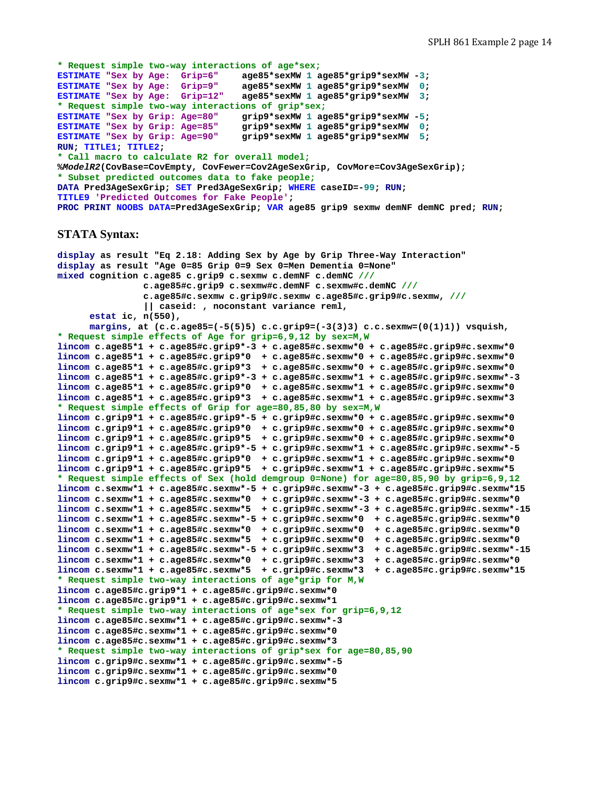```
* Request simple two-way interactions of age*sex;
ESTIMATE "Sex by Age: Grip=6" age85*sexMW 1 age85*grip9*sexMW -3; 
ESTIMATE "Sex by Age: Grip=9" age85*sexMW 1 age85*grip9*sexMW 0; 
ESTIMATE "Sex by Age: Grip=12" age85*sexMW 1 age85*grip9*sexMW 3; 
* Request simple two-way interactions of grip*sex;
ESTIMATE "Sex by Grip: Age=80" grip9*sexMW 1 age85*grip9*sexMW -5; 
ESTIMATE "Sex by Grip: Age=85" grip9*sexMW 1 age85*grip9*sexMW 0; 
ESTIMATE "Sex by Grip: Age=90" grip9*sexMW 1 age85*grip9*sexMW 5; 
RUN; TITLE1; TITLE2; 
* Call macro to calculate R2 for overall model;
%ModelR2(CovBase=CovEmpty, CovFewer=Cov2AgeSexGrip, CovMore=Cov3AgeSexGrip); 
* Subset predicted outcomes data to fake people;
DATA Pred3AgeSexGrip; SET Pred3AgeSexGrip; WHERE caseID=-99; RUN; 
TITLE9 'Predicted Outcomes for Fake People'; 
PROC PRINT NOOBS DATA=Pred3AgeSexGrip; VAR age85 grip9 sexmw demNF demNC pred; RUN;
```
#### **STATA Syntax:**

```
display as result "Eq 2.18: Adding Sex by Age by Grip Three-Way Interaction" 
display as result "Age 0=85 Grip 0=9 Sex 0=Men Dementia 0=None" 
mixed cognition c.age85 c.grip9 c.sexmw c.demNF c.demNC ///
                 c.age85#c.grip9 c.sexmw#c.demNF c.sexmw#c.demNC ///
                 c.age85#c.sexmw c.grip9#c.sexmw c.age85#c.grip9#c.sexmw, /// 
                 || caseid: , noconstant variance reml, 
       estat ic, n(550), 
      margins, at (c.c.age85=(-5(5)5) c.c.grip9=(-3(3)3) c.c.sexmw=(0(1)1)) vsquish, 
* Request simple effects of Age for grip=6,9,12 by sex=M,W 
lincom c.age85*1 + c.age85#c.grip9*-3 + c.age85#c.sexmw*0 + c.age85#c.grip9#c.sexmw*0 
lincom c.age85*1 + c.age85#c.grip9*0 + c.age85#c.sexmw*0 + c.age85#c.grip9#c.sexmw*0 
lincom c.age85*1 + c.age85#c.grip9*3 + c.age85#c.sexmw*0 + c.age85#c.grip9#c.sexmw*0 
lincom c.age85*1 + c.age85#c.grip9*-3 + c.age85#c.sexmw*1 + c.age85#c.grip9#c.sexmw*-3 
lincom c.age85*1 + c.age85#c.grip9*0 + c.age85#c.sexmw*1 + c.age85#c.grip9#c.sexmw*0 
lincom c.age85*1 + c.age85#c.grip9*3 + c.age85#c.sexmw*1 + c.age85#c.grip9#c.sexmw*3 
* Request simple effects of Grip for age=80,85,80 by sex=M,W
lincom c.grip9*1 + c.age85#c.grip9*-5 + c.grip9#c.sexmw*0 + c.age85#c.grip9#c.sexmw*0 
lincom c.grip9*1 + c.age85#c.grip9*0 + c.grip9#c.sexmw*0 + c.age85#c.grip9#c.sexmw*0 
lincom c.grip9*1 + c.age85#c.grip9*5 + c.grip9#c.sexmw*0 + c.age85#c.grip9#c.sexmw*0 
lincom c.grip9*1 + c.age85#c.grip9*-5 + c.grip9#c.sexmw*1 + c.age85#c.grip9#c.sexmw*-5 
lincom c.grip9*1 + c.age85#c.grip9*0 + c.grip9#c.sexmw*1 + c.age85#c.grip9#c.sexmw*0 
lincom c.grip9*1 + c.age85#c.grip9*5 + c.grip9#c.sexmw*1 + c.age85#c.grip9#c.sexmw*5 
* Request simple effects of Sex (hold demgroup 0=None) for age=80,85,90 by grip=6,9,12 
lincom c.sexmw*1 + c.age85#c.sexmw*-5 + c.grip9#c.sexmw*-3 + c.age85#c.grip9#c.sexmw*15 
lincom c.sexmw*1 + c.age85#c.sexmw*0 + c.grip9#c.sexmw*-3 + c.age85#c.grip9#c.sexmw*0 
lincom c.sexmw*1 + c.age85#c.sexmw*5 + c.grip9#c.sexmw*-3 + c.age85#c.grip9#c.sexmw*-15 
lincom c.sexmw*1 + c.age85#c.sexmw*-5 + c.grip9#c.sexmw*0 + c.age85#c.grip9#c.sexmw*0 
lincom c.sexmw*1 + c.age85#c.sexmw*0 + c.grip9#c.sexmw*0 + c.age85#c.grip9#c.sexmw*0 
lincom c.sexmw*1 + c.age85#c.sexmw*5 + c.grip9#c.sexmw*0 + c.age85#c.grip9#c.sexmw*0 
lincom c.sexmw*1 + c.age85#c.sexmw*-5 + c.grip9#c.sexmw*3 + c.age85#c.grip9#c.sexmw*-15 
lincom c.sexmw*1 + c.age85#c.sexmw*0 + c.grip9#c.sexmw*3 + c.age85#c.grip9#c.sexmw*0 
lincom c.sexmw*1 + c.age85#c.sexmw*5 + c.grip9#c.sexmw*3 + c.age85#c.grip9#c.sexmw*15 
* Request simple two-way interactions of age*grip for M,W
lincom c.age85#c.grip9*1 + c.age85#c.grip9#c.sexmw*0 
lincom c.age85#c.grip9*1 + c.age85#c.grip9#c.sexmw*1 
* Request simple two-way interactions of age*sex for grip=6,9,12 
lincom c.age85#c.sexmw*1 + c.age85#c.grip9#c.sexmw*-3 
lincom c.age85#c.sexmw*1 + c.age85#c.grip9#c.sexmw*0 
lincom c.age85#c.sexmw*1 + c.age85#c.grip9#c.sexmw*3 
* Request simple two-way interactions of grip*sex for age=80,85,90 
lincom c.grip9#c.sexmw*1 + c.age85#c.grip9#c.sexmw*-5 
lincom c.grip9#c.sexmw*1 + c.age85#c.grip9#c.sexmw*0 
lincom c.grip9#c.sexmw*1 + c.age85#c.grip9#c.sexmw*5
```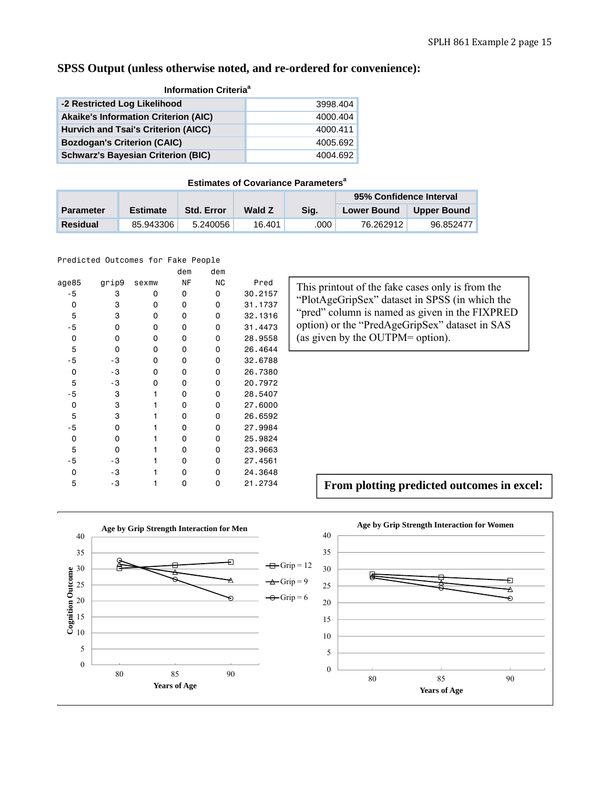# **SPSS Output (unless otherwise noted, and re-ordered for convenience):**

| <b>Information Criteria<sup>a</sup></b>     |          |  |  |  |  |  |  |
|---------------------------------------------|----------|--|--|--|--|--|--|
| -2 Restricted Log Likelihood                | 3998.404 |  |  |  |  |  |  |
| <b>Akaike's Information Criterion (AIC)</b> | 4000.404 |  |  |  |  |  |  |
| Hurvich and Tsai's Criterion (AICC)         | 4000.411 |  |  |  |  |  |  |
| <b>Bozdogan's Criterion (CAIC)</b>          | 4005.692 |  |  |  |  |  |  |
| <b>Schwarz's Bayesian Criterion (BIC)</b>   | 4004.692 |  |  |  |  |  |  |

## **Estimates of Covariance Parameters<sup>a</sup>**

|                  |                 |                   |               |      | 95% Confidence Interval |             |
|------------------|-----------------|-------------------|---------------|------|-------------------------|-------------|
| <b>Parameter</b> | <b>Estimate</b> | <b>Std. Error</b> | <b>Wald Z</b> | Sia. | <b>Lower Bound</b>      | Upper Bound |
| <b>Residual</b>  | 85.943306       | 5.240056          | 16.401        | .000 | 76.262912               | 96.852477   |

Predicted Outcomes for Fake People

|       |       |       | dem | dem       |         |
|-------|-------|-------|-----|-----------|---------|
| age85 | grip9 | sexmw | ΝF  | <b>NC</b> | Pred    |
| - 5   | 3     | 0     | 0   | 0         | 30.2157 |
| 0     | 3     | 0     | 0   | 0         | 31.1737 |
| 5     | 3     | 0     | 0   | 0         | 32,1316 |
| $-5$  | 0     | 0     | 0   | 0         | 31,4473 |
| 0     | 0     | 0     | 0   | 0         | 28,9558 |
| 5     | 0     | 0     | 0   | 0         | 26,4644 |
| - 5   | - 3   | 0     | 0   | 0         | 32,6788 |
| 0     | - 3   | 0     | 0   | 0         | 26,7380 |
| 5     | - 3   | 0     | 0   | 0         | 20.7972 |
| - 5   | 3     | 1     | 0   | 0         | 28,5407 |
| 0     | 3     |       | 0   | 0         | 27,6000 |
| 5     | 3     |       | 0   | 0         | 26,6592 |
| - 5   | 0     | 1     | 0   | 0         | 27,9984 |
| 0     | 0     | 1     | 0   | 0         | 25,9824 |
| 5     | 0     | 1     | 0   | 0         | 23,9663 |
| - 5   | - 3   |       | 0   | $\Omega$  | 27,4561 |
| 0     | - 3   |       | 0   | 0         | 24,3648 |
| 5     | - 3   |       | ი   | 0         | 21,2734 |
|       |       |       |     |           |         |

This printout of the fake cases only is from the "PlotAgeGripSex" dataset in SPSS (in which the "pred" column is named as given in the FIXPRED option) or the "PredAgeGripSex" dataset in SAS (as given by the OUTPM= option).

**From plotting predicted outcomes in excel:**